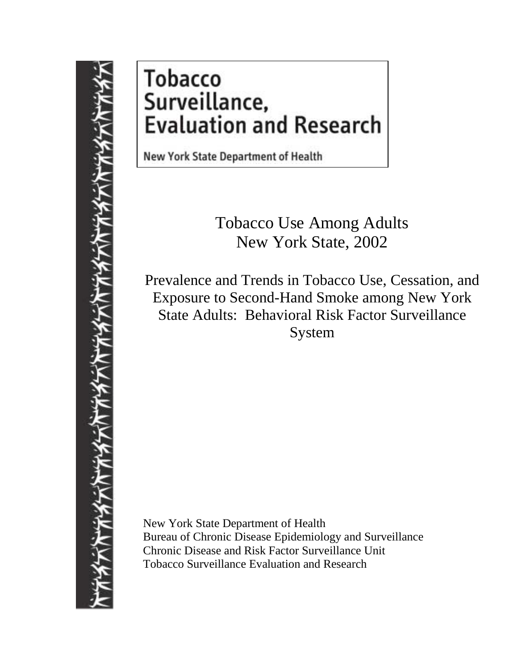# **Tobacco** Surveillance, **Evaluation and Research**

New York State Department of Health

Tobacco Use Among Adults New York State, 2002

Prevalence and Trends in Tobacco Use, Cessation, and Exposure to Second-Hand Smoke among New York State Adults: Behavioral Risk Factor Surveillance System

New York State Department of Health Bureau of Chronic Disease Epidemiology and Surveillance Chronic Disease and Risk Factor Surveillance Unit Tobacco Surveillance Evaluation and Research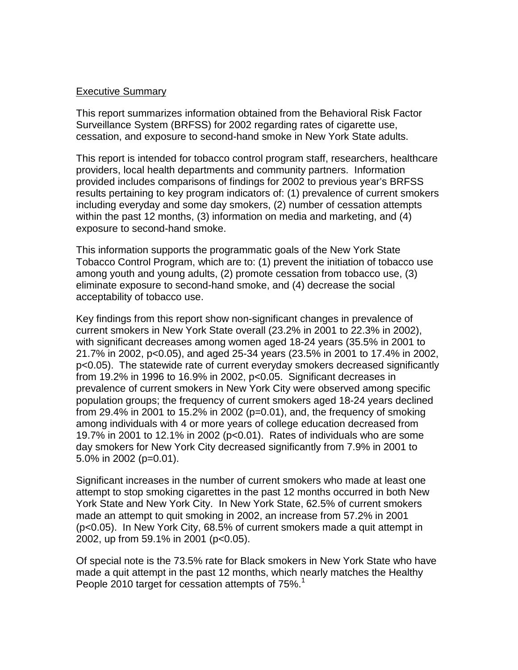## Executive Summary

This report summarizes information obtained from the Behavioral Risk Factor Surveillance System (BRFSS) for 2002 regarding rates of cigarette use, cessation, and exposure to second-hand smoke in New York State adults.

This report is intended for tobacco control program staff, researchers, healthcare providers, local health departments and community partners. Information provided includes comparisons of findings for 2002 to previous year's BRFSS results pertaining to key program indicators of: (1) prevalence of current smokers including everyday and some day smokers, (2) number of cessation attempts within the past 12 months, (3) information on media and marketing, and (4) exposure to second-hand smoke.

This information supports the programmatic goals of the New York State Tobacco Control Program, which are to: (1) prevent the initiation of tobacco use among youth and young adults, (2) promote cessation from tobacco use, (3) eliminate exposure to second-hand smoke, and (4) decrease the social acceptability of tobacco use.

Key findings from this report show non-significant changes in prevalence of current smokers in New York State overall (23.2% in 2001 to 22.3% in 2002), with significant decreases among women aged 18-24 years (35.5% in 2001 to 21.7% in 2002, p<0.05), and aged 25-34 years (23.5% in 2001 to 17.4% in 2002, p<0.05). The statewide rate of current everyday smokers decreased significantly from 19.2% in 1996 to 16.9% in 2002, p<0.05. Significant decreases in prevalence of current smokers in New York City were observed among specific population groups; the frequency of current smokers aged 18-24 years declined from 29.4% in 2001 to 15.2% in 2002 ( $p=0.01$ ), and, the frequency of smoking among individuals with 4 or more years of college education decreased from 19.7% in 2001 to 12.1% in 2002 (p<0.01). Rates of individuals who are some day smokers for New York City decreased significantly from 7.9% in 2001 to 5.0% in 2002 (p=0.01).

Significant increases in the number of current smokers who made at least one attempt to stop smoking cigarettes in the past 12 months occurred in both New York State and New York City. In New York State, 62.5% of current smokers made an attempt to quit smoking in 2002, an increase from 57.2% in 2001 (p<0.05). In New York City, 68.5% of current smokers made a quit attempt in 2002, up from 59.1% in 2001 (p<0.05).

Of special note is the 73.5% rate for Black smokers in New York State who have made a quit attempt in the past 12 months, which nearly matches the Healthy People 2010 target for cessation attempts of 75%.<sup>1</sup>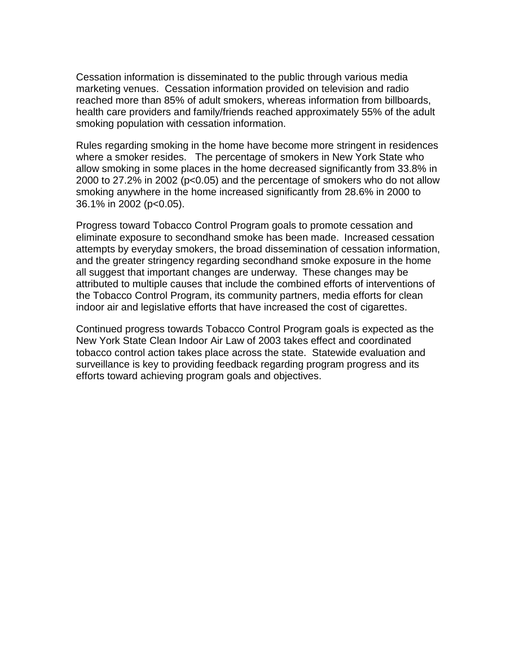Cessation information is disseminated to the public through various media marketing venues. Cessation information provided on television and radio reached more than 85% of adult smokers, whereas information from billboards, health care providers and family/friends reached approximately 55% of the adult smoking population with cessation information.

Rules regarding smoking in the home have become more stringent in residences where a smoker resides. The percentage of smokers in New York State who allow smoking in some places in the home decreased significantly from 33.8% in 2000 to 27.2% in 2002 (p<0.05) and the percentage of smokers who do not allow smoking anywhere in the home increased significantly from 28.6% in 2000 to 36.1% in 2002 (p<0.05).

Progress toward Tobacco Control Program goals to promote cessation and eliminate exposure to secondhand smoke has been made. Increased cessation attempts by everyday smokers, the broad dissemination of cessation information, and the greater stringency regarding secondhand smoke exposure in the home all suggest that important changes are underway. These changes may be attributed to multiple causes that include the combined efforts of interventions of the Tobacco Control Program, its community partners, media efforts for clean indoor air and legislative efforts that have increased the cost of cigarettes.

Continued progress towards Tobacco Control Program goals is expected as the New York State Clean Indoor Air Law of 2003 takes effect and coordinated tobacco control action takes place across the state. Statewide evaluation and surveillance is key to providing feedback regarding program progress and its efforts toward achieving program goals and objectives.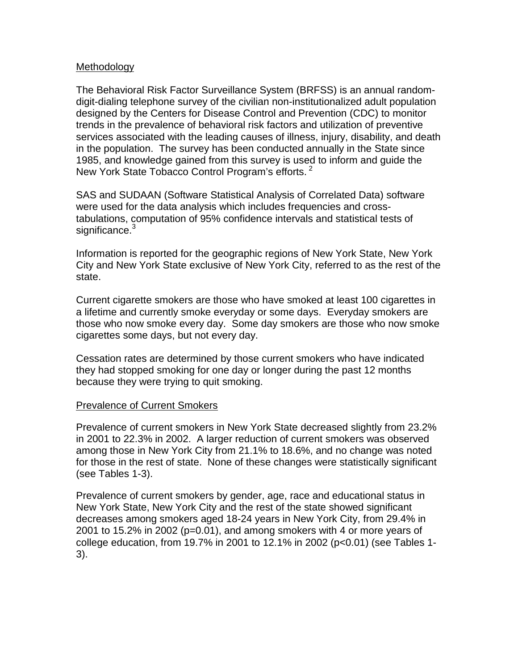## Methodology

The Behavioral Risk Factor Surveillance System (BRFSS) is an annual randomdigit-dialing telephone survey of the civilian non-institutionalized adult population designed by the Centers for Disease Control and Prevention (CDC) to monitor trends in the prevalence of behavioral risk factors and utilization of preventive services associated with the leading causes of illness, injury, disability, and death in the population. The survey has been conducted annually in the State since 1985, and knowledge gained from this survey is used to inform and guide the New York State Tobacco Control Program's efforts. <sup>2</sup>

SAS and SUDAAN (Software Statistical Analysis of Correlated Data) software were used for the data analysis which includes frequencies and crosstabulations, computation of 95% confidence intervals and statistical tests of significance.<sup>3</sup>

Information is reported for the geographic regions of New York State, New York City and New York State exclusive of New York City, referred to as the rest of the state.

Current cigarette smokers are those who have smoked at least 100 cigarettes in a lifetime and currently smoke everyday or some days. Everyday smokers are those who now smoke every day. Some day smokers are those who now smoke cigarettes some days, but not every day.

Cessation rates are determined by those current smokers who have indicated they had stopped smoking for one day or longer during the past 12 months because they were trying to quit smoking.

#### Prevalence of Current Smokers

Prevalence of current smokers in New York State decreased slightly from 23.2% in 2001 to 22.3% in 2002. A larger reduction of current smokers was observed among those in New York City from 21.1% to 18.6%, and no change was noted for those in the rest of state. None of these changes were statistically significant (see Tables 1-3).

Prevalence of current smokers by gender, age, race and educational status in New York State, New York City and the rest of the state showed significant decreases among smokers aged 18-24 years in New York City, from 29.4% in 2001 to 15.2% in 2002 (p=0.01), and among smokers with 4 or more years of college education, from 19.7% in 2001 to 12.1% in 2002 (p<0.01) (see Tables 1- 3).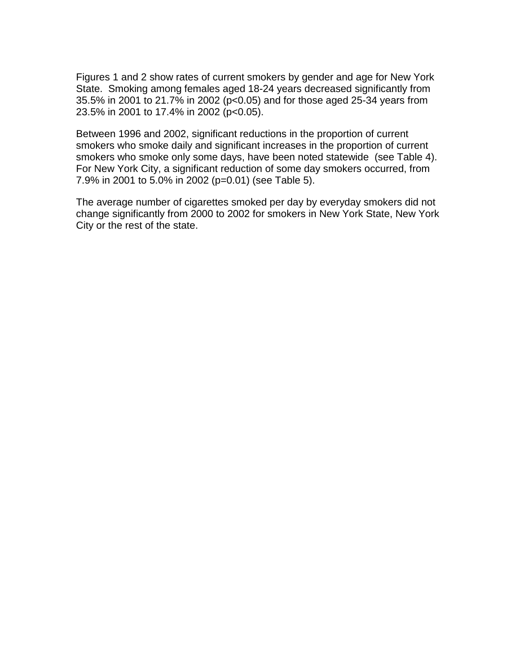Figures 1 and 2 show rates of current smokers by gender and age for New York State. Smoking among females aged 18-24 years decreased significantly from 35.5% in 2001 to 21.7% in 2002 (p<0.05) and for those aged 25-34 years from 23.5% in 2001 to 17.4% in 2002 (p<0.05).

Between 1996 and 2002, significant reductions in the proportion of current smokers who smoke daily and significant increases in the proportion of current smokers who smoke only some days, have been noted statewide (see Table 4). For New York City, a significant reduction of some day smokers occurred, from 7.9% in 2001 to 5.0% in 2002 (p=0.01) (see Table 5).

The average number of cigarettes smoked per day by everyday smokers did not change significantly from 2000 to 2002 for smokers in New York State, New York City or the rest of the state.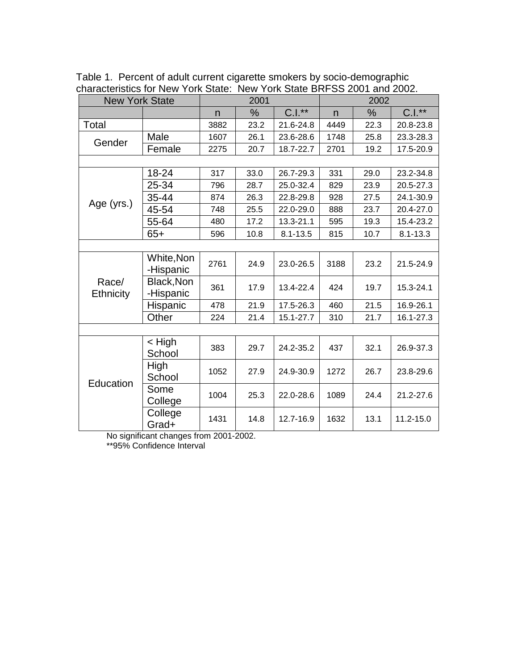| <b>New York State</b> |            |      | 2001 |              |      | 2002 |              |
|-----------------------|------------|------|------|--------------|------|------|--------------|
|                       |            | n    | %    | $C.I.**$     | n    | %    | $C.I.**$     |
| Total                 |            | 3882 | 23.2 | 21.6-24.8    | 4449 | 22.3 | 20.8-23.8    |
|                       | Male       | 1607 | 26.1 | 23.6-28.6    | 1748 | 25.8 | 23.3-28.3    |
| Gender                | Female     | 2275 | 20.7 | 18.7-22.7    | 2701 | 19.2 | 17.5-20.9    |
|                       |            |      |      |              |      |      |              |
|                       | 18-24      | 317  | 33.0 | 26.7-29.3    | 331  | 29.0 | 23.2-34.8    |
|                       | 25-34      | 796  | 28.7 | 25.0-32.4    | 829  | 23.9 | 20.5-27.3    |
|                       | 35-44      | 874  | 26.3 | 22.8-29.8    | 928  | 27.5 | 24.1-30.9    |
| Age (yrs.)            | 45-54      | 748  | 25.5 | 22.0-29.0    | 888  | 23.7 | 20.4-27.0    |
|                       | 55-64      | 480  | 17.2 | 13.3-21.1    | 595  | 19.3 | 15.4-23.2    |
|                       | $65+$      | 596  | 10.8 | $8.1 - 13.5$ | 815  | 10.7 | $8.1 - 13.3$ |
|                       |            |      |      |              |      |      |              |
|                       | White, Non | 2761 | 24.9 | 23.0-26.5    | 3188 | 23.2 | 21.5-24.9    |
|                       | -Hispanic  |      |      |              |      |      |              |
| Race/                 | Black, Non | 361  | 17.9 | 13.4-22.4    | 424  | 19.7 | 15.3-24.1    |
| Ethnicity             | -Hispanic  |      |      |              |      |      |              |
|                       | Hispanic   | 478  | 21.9 | 17.5-26.3    | 460  | 21.5 | 16.9-26.1    |
|                       | Other      | 224  | 21.4 | 15.1-27.7    | 310  | 21.7 | 16.1-27.3    |
|                       |            |      |      |              |      |      |              |
|                       | $<$ High   | 383  | 29.7 | 24.2-35.2    | 437  | 32.1 | 26.9-37.3    |
|                       | School     |      |      |              |      |      |              |
|                       | High       | 1052 | 27.9 | 24.9-30.9    | 1272 | 26.7 | 23.8-29.6    |
| Education             | School     |      |      |              |      |      |              |
|                       | Some       | 1004 | 25.3 | 22.0-28.6    | 1089 | 24.4 | 21.2-27.6    |
|                       | College    |      |      |              |      |      |              |
|                       | College    | 1431 | 14.8 | 12.7-16.9    | 1632 | 13.1 | 11.2-15.0    |
|                       | Grad+      |      |      |              |      |      |              |

Table 1. Percent of adult current cigarette smokers by socio-demographic characteristics for New York State: New York State BRFSS 2001 and 2002.

No significant changes from 2001-2002.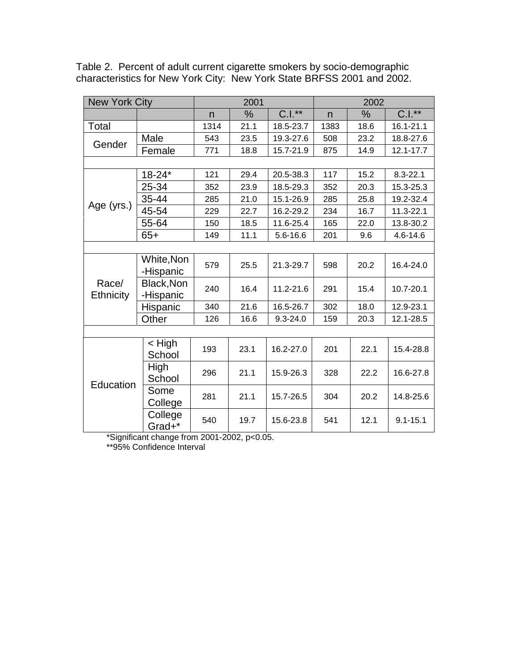| <b>New York City</b> |                         |      | 2001 |              | 2002 |               |               |  |
|----------------------|-------------------------|------|------|--------------|------|---------------|---------------|--|
|                      |                         | n    | %    | $C.I.*$      | n    | $\frac{0}{0}$ | $C.I.**$      |  |
| Total                |                         | 1314 | 21.1 | 18.5-23.7    | 1383 | 18.6          | 16.1-21.1     |  |
|                      | Male                    | 543  | 23.5 | 19.3-27.6    | 508  | 23.2          | 18.8-27.6     |  |
| Gender               | Female                  | 771  | 18.8 | 15.7-21.9    | 875  | 14.9          | $12.1 - 17.7$ |  |
|                      |                         |      |      |              |      |               |               |  |
|                      | $18 - 24*$              | 121  | 29.4 | 20.5-38.3    | 117  | 15.2          | $8.3 - 22.1$  |  |
|                      | 25-34                   | 352  | 23.9 | 18.5-29.3    | 352  | 20.3          | 15.3-25.3     |  |
|                      | 35-44                   | 285  | 21.0 | 15.1-26.9    | 285  | 25.8          | 19.2-32.4     |  |
| Age (yrs.)           | 45-54                   | 229  | 22.7 | 16.2-29.2    | 234  | 16.7          | 11.3-22.1     |  |
|                      | 55-64                   | 150  | 18.5 | 11.6-25.4    | 165  | 22.0          | 13.8-30.2     |  |
|                      | $65+$                   | 149  | 11.1 | 5.6-16.6     | 201  | 9.6           | 4.6-14.6      |  |
|                      |                         |      |      |              |      |               |               |  |
|                      | White, Non<br>-Hispanic | 579  | 25.5 | 21.3-29.7    | 598  | 20.2          | 16.4-24.0     |  |
| Race/<br>Ethnicity   | Black, Non<br>-Hispanic | 240  | 16.4 | 11.2-21.6    | 291  | 15.4          | 10.7-20.1     |  |
|                      | Hispanic                | 340  | 21.6 | 16.5-26.7    | 302  | 18.0          | 12.9-23.1     |  |
|                      | Other                   | 126  | 16.6 | $9.3 - 24.0$ | 159  | 20.3          | 12.1-28.5     |  |
|                      |                         |      |      |              |      |               |               |  |
|                      | < High<br>School        | 193  | 23.1 | 16.2-27.0    | 201  | 22.1          | 15.4-28.8     |  |
| Education            | High<br>School          | 296  | 21.1 | 15.9-26.3    | 328  | 22.2          | 16.6-27.8     |  |
|                      | Some<br>College         | 281  | 21.1 | 15.7-26.5    | 304  | 20.2          | 14.8-25.6     |  |
|                      | College<br>Grad+*       | 540  | 19.7 | 15.6-23.8    | 541  | 12.1          | $9.1 - 15.1$  |  |

Table 2. Percent of adult current cigarette smokers by socio-demographic characteristics for New York City: New York State BRFSS 2001 and 2002.

\*Significant change from 2001-2002, p<0.05.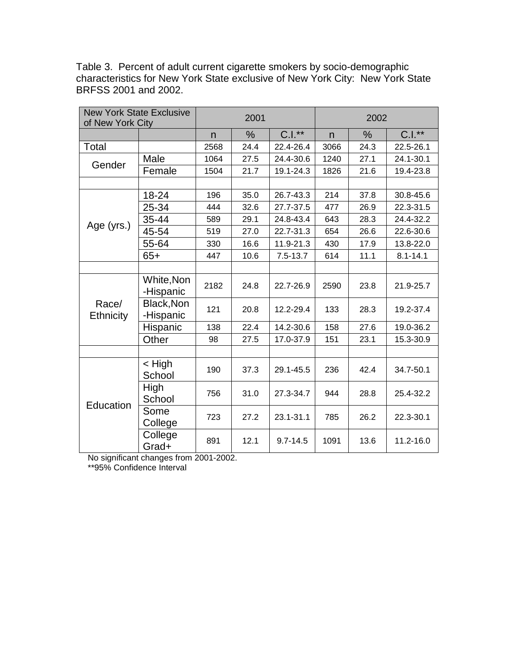| <b>New York State Exclusive</b><br>of New York City |                         |              | 2001 |              | 2002 |               |              |  |
|-----------------------------------------------------|-------------------------|--------------|------|--------------|------|---------------|--------------|--|
|                                                     |                         | $\mathsf{n}$ | %    | $C.I.**$     | n    | $\frac{0}{0}$ | $C.I.**$     |  |
| Total                                               |                         | 2568         | 24.4 | 22.4-26.4    | 3066 | 24.3          | 22.5-26.1    |  |
| Gender                                              | Male                    | 1064         | 27.5 | 24.4-30.6    | 1240 | 27.1          | 24.1-30.1    |  |
|                                                     | Female                  | 1504         | 21.7 | 19.1-24.3    | 1826 | 21.6          | 19.4-23.8    |  |
|                                                     |                         |              |      |              |      |               |              |  |
|                                                     | 18-24                   | 196          | 35.0 | 26.7-43.3    | 214  | 37.8          | 30.8-45.6    |  |
|                                                     | 25-34                   | 444          | 32.6 | 27.7-37.5    | 477  | 26.9          | 22.3-31.5    |  |
|                                                     | 35-44                   | 589          | 29.1 | 24.8-43.4    | 643  | 28.3          | 24.4-32.2    |  |
| Age (yrs.)                                          | 45-54                   | 519          | 27.0 | 22.7-31.3    | 654  | 26.6          | 22.6-30.6    |  |
|                                                     | 55-64                   | 330          | 16.6 | 11.9-21.3    | 430  | 17.9          | 13.8-22.0    |  |
|                                                     | $65+$                   | 447          | 10.6 | $7.5 - 13.7$ | 614  | 11.1          | $8.1 - 14.1$ |  |
|                                                     |                         |              |      |              |      |               |              |  |
|                                                     | White, Non<br>-Hispanic | 2182         | 24.8 | 22.7-26.9    | 2590 | 23.8          | 21.9-25.7    |  |
| Race/<br><b>Ethnicity</b>                           | Black, Non<br>-Hispanic | 121          | 20.8 | 12.2-29.4    | 133  | 28.3          | 19.2-37.4    |  |
|                                                     | Hispanic                | 138          | 22.4 | 14.2-30.6    | 158  | 27.6          | 19.0-36.2    |  |
|                                                     | Other                   | 98           | 27.5 | 17.0-37.9    | 151  | 23.1          | 15.3-30.9    |  |
|                                                     |                         |              |      |              |      |               |              |  |
|                                                     | $<$ High<br>School      | 190          | 37.3 | 29.1-45.5    | 236  | 42.4          | 34.7-50.1    |  |
|                                                     | High<br>School          | 756          | 31.0 | 27.3-34.7    | 944  | 28.8          | 25.4-32.2    |  |
| Education                                           | Some<br>College         | 723          | 27.2 | 23.1-31.1    | 785  | 26.2          | 22.3-30.1    |  |
|                                                     | College<br>Grad+        | 891          | 12.1 | $9.7 - 14.5$ | 1091 | 13.6          | 11.2-16.0    |  |

Table 3. Percent of adult current cigarette smokers by socio-demographic characteristics for New York State exclusive of New York City: New York State BRFSS 2001 and 2002.

No significant changes from 2001-2002.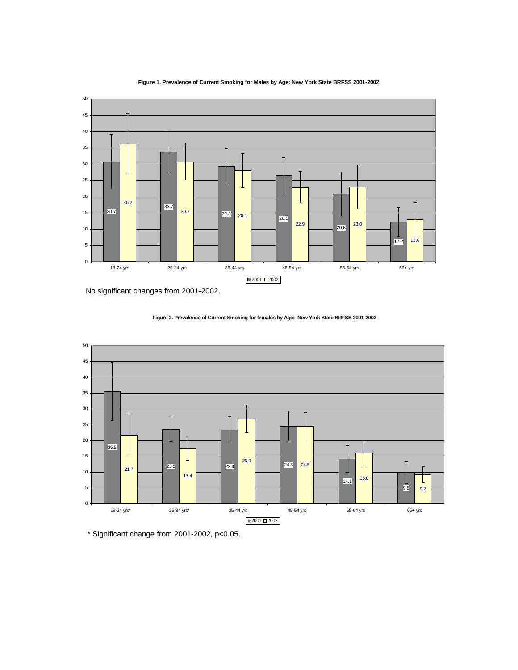



No significant changes from 2001-2002.



**Figure 2. Prevalence of Current Smoking for females by Age: New York State BRFSS 2001-2002**

\* Significant change from 2001-2002, p<0.05.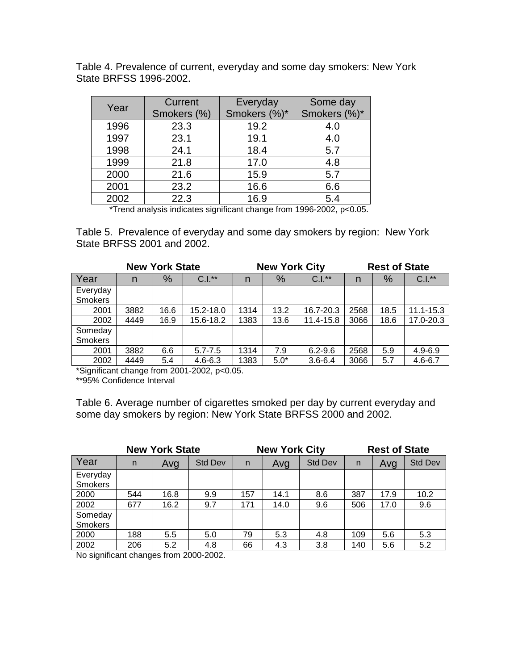Table 4. Prevalence of current, everyday and some day smokers: New York State BRFSS 1996-2002.

| Year | Current     | Everyday     | Some day     |
|------|-------------|--------------|--------------|
|      | Smokers (%) | Smokers (%)* | Smokers (%)* |
| 1996 | 23.3        | 19.2         | 4.0          |
| 1997 | 23.1        | 19.1         | 4.0          |
| 1998 | 24.1        | 18.4         | 5.7          |
| 1999 | 21.8        | 17.0         | 4.8          |
| 2000 | 21.6        | 15.9         | 5.7          |
| 2001 | 23.2        | 16.6         | 6.6          |
| 2002 | 22.3        | 16.9         | 5.4          |

\*Trend analysis indicates significant change from 1996-2002, p<0.05.

Table 5. Prevalence of everyday and some day smokers by region: New York State BRFSS 2001 and 2002.

|                |      | <b>New York State</b> |             |      | <b>New York City</b> |             | <b>Rest of State</b> |      |               |  |
|----------------|------|-----------------------|-------------|------|----------------------|-------------|----------------------|------|---------------|--|
| Year           | n    | $\%$                  | $C.I.*$     | n    | %                    | $C.I.**$    | n                    | %    | $C.I.*$       |  |
| Everyday       |      |                       |             |      |                      |             |                      |      |               |  |
| <b>Smokers</b> |      |                       |             |      |                      |             |                      |      |               |  |
| 2001           | 3882 | 16.6                  | 15.2-18.0   | 1314 | 13.2                 | 16.7-20.3   | 2568                 | 18.5 | $11.1 - 15.3$ |  |
| 2002           | 4449 | 16.9                  | 15.6-18.2   | 1383 | 13.6                 | 11.4-15.8   | 3066                 | 18.6 | 17.0-20.3     |  |
| Someday        |      |                       |             |      |                      |             |                      |      |               |  |
| <b>Smokers</b> |      |                       |             |      |                      |             |                      |      |               |  |
| 2001           | 3882 | 6.6                   | $5.7 - 7.5$ | 1314 | 7.9                  | $6.2 - 9.6$ | 2568                 | 5.9  | $4.9 - 6.9$   |  |
| 2002           | 4449 | 5.4                   | $4.6 - 6.3$ | 1383 | $5.0*$               | $3.6 - 6.4$ | 3066                 | 5.7  | $4.6 - 6.7$   |  |

\*Significant change from 2001-2002, p<0.05.

\*\*95% Confidence Interval

Table 6. Average number of cigarettes smoked per day by current everyday and some day smokers by region: New York State BRFSS 2000 and 2002.

|                            |     | <b>New York State</b> |                |     | <b>New York City</b> |                | <b>Rest of State</b> |      |                |  |
|----------------------------|-----|-----------------------|----------------|-----|----------------------|----------------|----------------------|------|----------------|--|
| Year                       | n   | Avg                   | <b>Std Dev</b> | n   | Avg                  | <b>Std Dev</b> | n                    | Avg  | <b>Std Dev</b> |  |
| Everyday<br><b>Smokers</b> |     |                       |                |     |                      |                |                      |      |                |  |
| 2000                       | 544 | 16.8                  | 9.9            | 157 | 14.1                 | 8.6            | 387                  | 17.9 | 10.2           |  |
| 2002                       | 677 | 16.2                  | 9.7            | 171 | 14.0                 | 9.6            | 506                  | 17.0 | 9.6            |  |
| Someday<br>Smokers         |     |                       |                |     |                      |                |                      |      |                |  |
| 2000                       | 188 | 5.5                   | 5.0            | 79  | 5.3                  | 4.8            | 109                  | 5.6  | 5.3            |  |
| 2002                       | 206 | 5.2                   | 4.8            | 66  | 4.3                  | 3.8            | 140                  | 5.6  | 5.2            |  |

No significant changes from 2000-2002.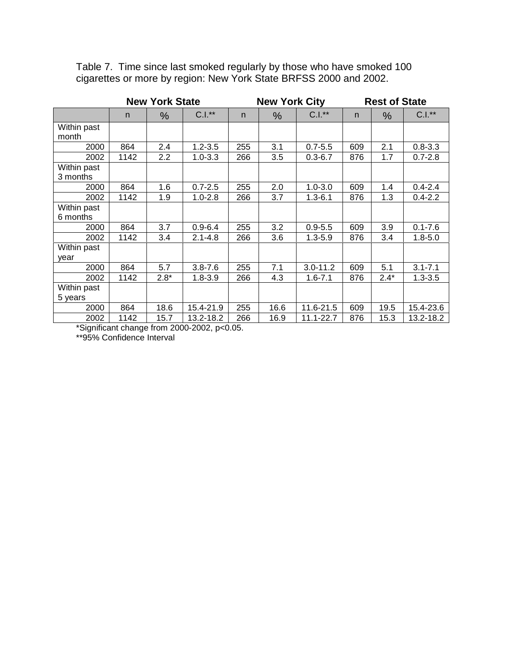|             |      | <b>New York State</b> |             |     | <b>New York City</b> |              |     | <b>Rest of State</b> |             |
|-------------|------|-----------------------|-------------|-----|----------------------|--------------|-----|----------------------|-------------|
|             | n.   | $\%$                  | $C.I.*$     | n   | %                    | $C.I.**$     | n   | $\%$                 | $C.I.**$    |
| Within past |      |                       |             |     |                      |              |     |                      |             |
| month       |      |                       |             |     |                      |              |     |                      |             |
| 2000        | 864  | 2.4                   | $1.2 - 3.5$ | 255 | 3.1                  | $0.7 - 5.5$  | 609 | 2.1                  | $0.8 - 3.3$ |
| 2002        | 1142 | 2.2                   | $1.0 - 3.3$ | 266 | 3.5                  | $0.3 - 6.7$  | 876 | 1.7                  | $0.7 - 2.8$ |
| Within past |      |                       |             |     |                      |              |     |                      |             |
| 3 months    |      |                       |             |     |                      |              |     |                      |             |
| 2000        | 864  | 1.6                   | $0.7 - 2.5$ | 255 | 2.0                  | $1.0 - 3.0$  | 609 | 1.4                  | $0.4 - 2.4$ |
| 2002        | 1142 | 1.9                   | $1.0 - 2.8$ | 266 | 3.7                  | $1.3 - 6.1$  | 876 | 1.3                  | $0.4 - 2.2$ |
| Within past |      |                       |             |     |                      |              |     |                      |             |
| 6 months    |      |                       |             |     |                      |              |     |                      |             |
| 2000        | 864  | 3.7                   | $0.9 - 6.4$ | 255 | 3.2                  | $0.9 - 5.5$  | 609 | 3.9                  | $0.1 - 7.6$ |
| 2002        | 1142 | 3.4                   | $2.1 - 4.8$ | 266 | 3.6                  | $1.3 - 5.9$  | 876 | 3.4                  | $1.8 - 5.0$ |
| Within past |      |                       |             |     |                      |              |     |                      |             |
| year        |      |                       |             |     |                      |              |     |                      |             |
| 2000        | 864  | 5.7                   | $3.8 - 7.6$ | 255 | 7.1                  | $3.0 - 11.2$ | 609 | 5.1                  | $3.1 - 7.1$ |
| 2002        | 1142 | $2.8*$                | $1.8 - 3.9$ | 266 | 4.3                  | $1.6 - 7.1$  | 876 | $2.4*$               | $1.3 - 3.5$ |
| Within past |      |                       |             |     |                      |              |     |                      |             |
| 5 years     |      |                       |             |     |                      |              |     |                      |             |
| 2000        | 864  | 18.6                  | 15.4-21.9   | 255 | 16.6                 | 11.6-21.5    | 609 | 19.5                 | 15.4-23.6   |
| 2002        | 1142 | 15.7                  | 13.2-18.2   | 266 | 16.9                 | 11.1-22.7    | 876 | 15.3                 | 13.2-18.2   |

Table 7. Time since last smoked regularly by those who have smoked 100 cigarettes or more by region: New York State BRFSS 2000 and 2002.

\*Significant change from 2000-2002, p<0.05.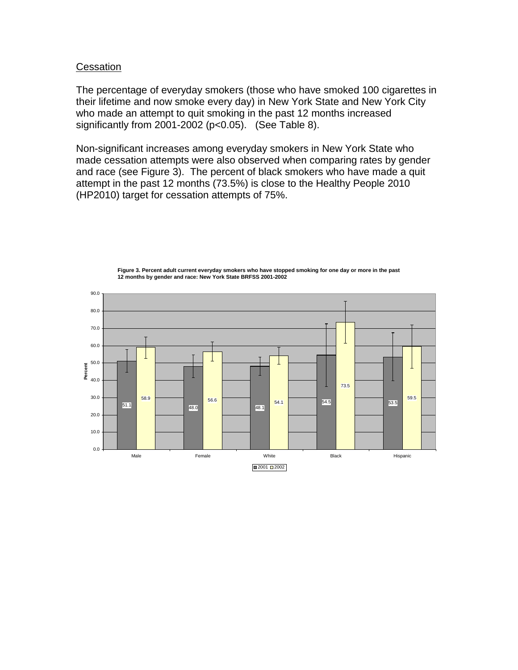#### **Cessation**

The percentage of everyday smokers (those who have smoked 100 cigarettes in their lifetime and now smoke every day) in New York State and New York City who made an attempt to quit smoking in the past 12 months increased significantly from 2001-2002  $(p<0.05)$ . (See Table 8).

Non-significant increases among everyday smokers in New York State who made cessation attempts were also observed when comparing rates by gender and race (see Figure 3). The percent of black smokers who have made a quit attempt in the past 12 months (73.5%) is close to the Healthy People 2010 (HP2010) target for cessation attempts of 75%.

51.1 48.0 48.1 **54.5 1** 53.5 58.9 **58.9** 56.6 54.1 73.5 59.5 0.0 10.0 20.0 30.0 40.0 50.0 60.0 70.0 80.0 90.0 Male Female White Black Hispanic **Percent** ■2001 ■2002

**Figure 3. Percent adult current everyday smokers who have stopped smoking for one day or more in the past 12 months by gender and race: New York State BRFSS 2001-2002**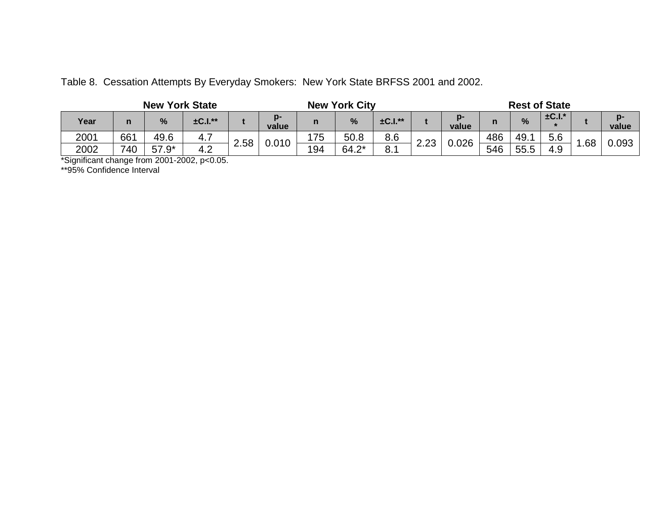|  |  |  |  |  |  |  |  | Table 8. Cessation Attempts By Everyday Smokers: New York State BRFSS 2001 and 2002. |  |
|--|--|--|--|--|--|--|--|--------------------------------------------------------------------------------------|--|
|--|--|--|--|--|--|--|--|--------------------------------------------------------------------------------------|--|

| <b>New York State</b> |     |         |              |      |             |     | <b>Rest of State</b><br><b>New York City</b> |              |      |               |     |      |             |     |       |
|-----------------------|-----|---------|--------------|------|-------------|-----|----------------------------------------------|--------------|------|---------------|-----|------|-------------|-----|-------|
| Year                  | n   | %       | $\pm$ C.I.** |      | n-<br>value | n   | %                                            | $\pm$ C.I.** |      | $p-$<br>value |     | %    | $\pm$ C.I.* |     | value |
| 2001                  | 661 | 49.6    | 4.7          | 2.58 | 0.010       | 175 | 50.8                                         | 8.6          |      |               | 486 | 49.  | 5.6         |     |       |
| 2002                  | 740 | $57.9*$ | 4.2          |      |             | 194 | $64.2*$                                      | 8.1          | 2.23 | 0.026         | 546 | 55.5 | 4.9         | .68 | 0.093 |

\*Significant change from 2001-2002, p<0.05.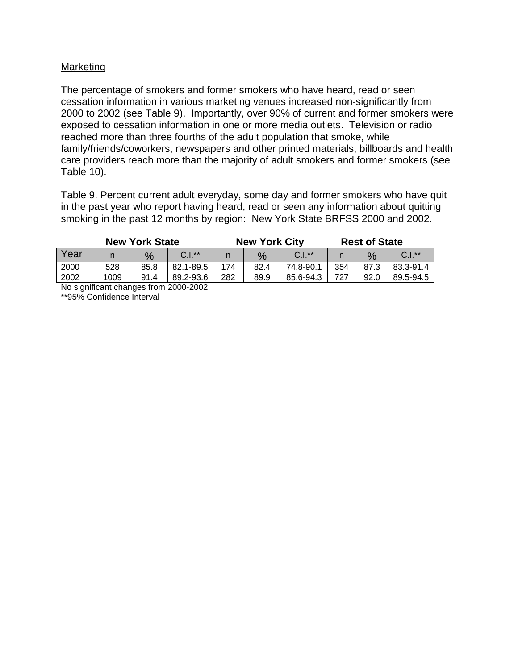# Marketing

The percentage of smokers and former smokers who have heard, read or seen cessation information in various marketing venues increased non-significantly from 2000 to 2002 (see Table 9). Importantly, over 90% of current and former smokers were exposed to cessation information in one or more media outlets. Television or radio reached more than three fourths of the adult population that smoke, while family/friends/coworkers, newspapers and other printed materials, billboards and health care providers reach more than the majority of adult smokers and former smokers (see Table 10).

Table 9. Percent current adult everyday, some day and former smokers who have quit in the past year who report having heard, read or seen any information about quitting smoking in the past 12 months by region: New York State BRFSS 2000 and 2002.

|      |      | <b>New York State</b> |                                                  |     | <b>New York City</b> |           | <b>Rest of State</b> |               |           |  |
|------|------|-----------------------|--------------------------------------------------|-----|----------------------|-----------|----------------------|---------------|-----------|--|
| Year |      | %                     | $C.I.*$                                          |     | %                    | $C.I.*$   |                      | $\frac{0}{6}$ | $C.I.*$   |  |
| 2000 | 528  | 85.8                  | 82.1-89.5                                        | 174 | 82.4                 | 74.8-90.1 | 354                  | 87.3          | 83.3-91.4 |  |
| 2002 | 1009 | 91.4                  | 89.2-93.6                                        | 282 | 89.9                 | 85.6-94.3 | 727                  | 92.0          | 89.5-94.5 |  |
|      |      |                       | $M_{\odot}$ about the surface see from 0000,0000 |     |                      |           |                      |               |           |  |

No significant changes from 2000-2002.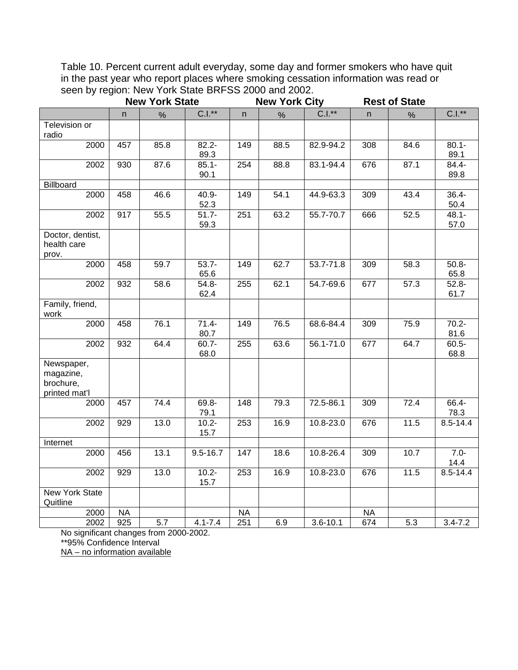Table 10. Percent current adult everyday, some day and former smokers who have quit in the past year who report places where smoking cessation information was read or seen by region: New York State BRFSS 2000 and 2002.

|                                                       | <b>New York State</b> |      |                             |           | <b>New York City</b> |               | <b>Rest of State</b> |      |                  |  |
|-------------------------------------------------------|-----------------------|------|-----------------------------|-----------|----------------------|---------------|----------------------|------|------------------|--|
|                                                       | n                     | %    | $C.I.*$                     | n         | %                    | $C.I.**$      | n.                   | %    | $C.I.*$          |  |
| Television or<br>radio                                |                       |      |                             |           |                      |               |                      |      |                  |  |
| 2000                                                  | 457                   | 85.8 | $82.2 -$<br>89.3            | 149       | 88.5                 | 82.9-94.2     | 308                  | 84.6 | $80.1 -$<br>89.1 |  |
| 2002                                                  | 930                   | 87.6 | $85.1 -$<br>90.1            | 254       | 88.8                 | 83.1-94.4     | 676                  | 87.1 | 84.4-<br>89.8    |  |
| Billboard                                             |                       |      |                             |           |                      |               |                      |      |                  |  |
| 2000                                                  | 458                   | 46.6 | $40.9 -$<br>52.3            | 149       | 54.1                 | 44.9-63.3     | 309                  | 43.4 | $36.4 -$<br>50.4 |  |
| 2002                                                  | 917                   | 55.5 | $51.7 -$<br>59.3            | 251       | 63.2                 | 55.7-70.7     | 666                  | 52.5 | $48.1 -$<br>57.0 |  |
| Doctor, dentist,<br>health care<br>prov.              |                       |      |                             |           |                      |               |                      |      |                  |  |
| 2000                                                  | 458                   | 59.7 | $53.7 -$<br>65.6            | 149       | 62.7                 | 53.7-71.8     | 309                  | 58.3 | $50.8 -$<br>65.8 |  |
| 2002                                                  | 932                   | 58.6 | $54.8 -$<br>62.4            | 255       | 62.1                 | 54.7-69.6     | 677                  | 57.3 | $52.8 -$<br>61.7 |  |
| Family, friend,<br>work                               |                       |      |                             |           |                      |               |                      |      |                  |  |
| 2000                                                  | 458                   | 76.1 | $71.4 -$<br>80.7            | 149       | 76.5                 | 68.6-84.4     | 309                  | 75.9 | $70.2 -$<br>81.6 |  |
| 2002                                                  | 932                   | 64.4 | $60.7 -$<br>68.0            | 255       | 63.6                 | 56.1-71.0     | 677                  | 64.7 | $60.5 -$<br>68.8 |  |
| Newspaper,<br>magazine,<br>brochure,<br>printed mat'l |                       |      |                             |           |                      |               |                      |      |                  |  |
| 2000                                                  | 457                   | 74.4 | 69.8-<br>79.1               | 148       | 79.3                 | 72.5-86.1     | 309                  | 72.4 | 66.4-<br>78.3    |  |
| 2002                                                  | 929                   | 13.0 | $\overline{10.2}$ -<br>15.7 | 253       | 16.9                 | $10.8 - 23.0$ | 676                  | 11.5 | 8.5-14.4         |  |
| Internet                                              |                       |      |                             |           |                      |               |                      |      |                  |  |
| 2000                                                  | 456                   | 13.1 | $9.5 - 16.7$                | 147       | 18.6                 | 10.8-26.4     | 309                  | 10.7 | $7.0 -$<br>14.4  |  |
| 2002                                                  | 929                   | 13.0 | $10.2 -$<br>15.7            | 253       | 16.9                 | 10.8-23.0     | 676                  | 11.5 | $8.5 - 14.4$     |  |
| <b>New York State</b><br>Quitline                     |                       |      |                             |           |                      |               |                      |      |                  |  |
| 2000                                                  | <b>NA</b>             |      |                             | <b>NA</b> |                      |               | <b>NA</b>            |      |                  |  |
| 2002                                                  | 925                   | 5.7  | $4.1 - 7.4$                 | 251       | 6.9                  | $3.6 - 10.1$  | 674                  | 5.3  | $3.4 - 7.2$      |  |

No significant changes from 2000-2002. \*\*95% Confidence Interval

NA – no information available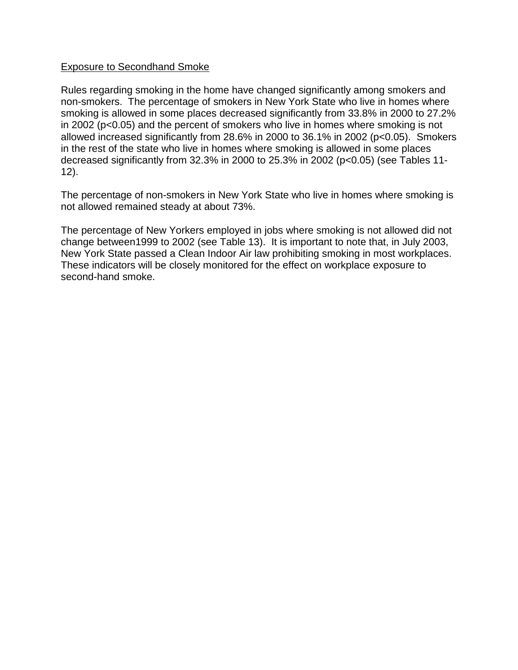## Exposure to Secondhand Smoke

Rules regarding smoking in the home have changed significantly among smokers and non-smokers. The percentage of smokers in New York State who live in homes where smoking is allowed in some places decreased significantly from 33.8% in 2000 to 27.2% in 2002 (p<0.05) and the percent of smokers who live in homes where smoking is not allowed increased significantly from 28.6% in 2000 to 36.1% in 2002 (p<0.05). Smokers in the rest of the state who live in homes where smoking is allowed in some places decreased significantly from 32.3% in 2000 to 25.3% in 2002 (p<0.05) (see Tables 11- 12).

The percentage of non-smokers in New York State who live in homes where smoking is not allowed remained steady at about 73%.

The percentage of New Yorkers employed in jobs where smoking is not allowed did not change between1999 to 2002 (see Table 13). It is important to note that, in July 2003, New York State passed a Clean Indoor Air law prohibiting smoking in most workplaces. These indicators will be closely monitored for the effect on workplace exposure to second-hand smoke.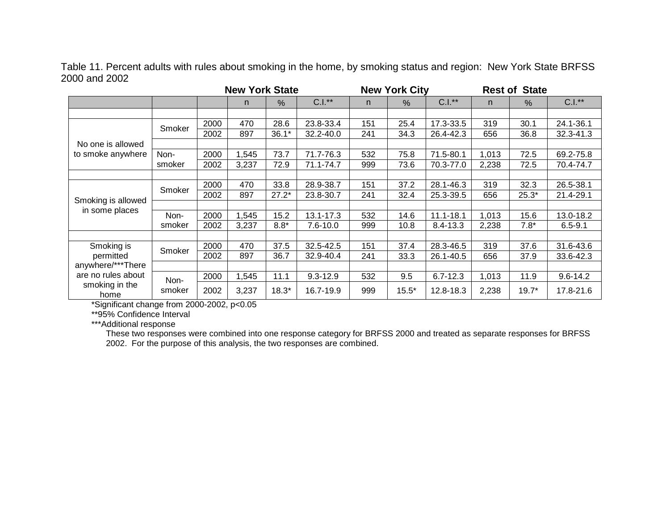Table 11. Percent adults with rules about smoking in the home, by smoking status and region: New York State BRFSS 2000 and 2002

|                        |        |      | <b>New York State</b> |         | <b>New York City</b> |     |         | <b>Rest of State</b> |       |         |              |
|------------------------|--------|------|-----------------------|---------|----------------------|-----|---------|----------------------|-------|---------|--------------|
|                        |        |      | n.                    | %       | $C.I.*$              | n.  | %       | $C.I.*$              | n.    | %       | $C.I.*$      |
|                        |        |      |                       |         |                      |     |         |                      |       |         |              |
|                        | Smoker | 2000 | 470                   | 28.6    | 23.8-33.4            | 151 | 25.4    | 17.3-33.5            | 319   | 30.1    | 24.1-36.1    |
|                        |        | 2002 | 897                   | $36.1*$ | 32.2-40.0            | 241 | 34.3    | 26.4-42.3            | 656   | 36.8    | 32.3-41.3    |
| No one is allowed      |        |      |                       |         |                      |     |         |                      |       |         |              |
| to smoke anywhere      | Non-   | 2000 | ,545                  | 73.7    | 71.7-76.3            | 532 | 75.8    | 71.5-80.1            | 1,013 | 72.5    | 69.2-75.8    |
|                        | smoker | 2002 | 3,237                 | 72.9    | 71.1-74.7            | 999 | 73.6    | 70.3-77.0            | 2,238 | 72.5    | 70.4-74.7    |
|                        |        |      |                       |         |                      |     |         |                      |       |         |              |
|                        | Smoker | 2000 | 470                   | 33.8    | 28.9-38.7            | 151 | 37.2    | 28.1-46.3            | 319   | 32.3    | 26.5-38.1    |
| Smoking is allowed     |        | 2002 | 897                   | $27.2*$ | 23.8-30.7            | 241 | 32.4    | 25.3-39.5            | 656   | $25.3*$ | 21.4-29.1    |
| in some places         |        |      |                       |         |                      |     |         |                      |       |         |              |
|                        | Non-   | 2000 | 1,545                 | 15.2    | 13.1-17.3            | 532 | 14.6    | $11.1 - 18.1$        | 1,013 | 15.6    | 13.0-18.2    |
|                        | smoker | 2002 | 3,237                 | $8.8*$  | $7.6 - 10.0$         | 999 | 10.8    | $8.4 - 13.3$         | 2,238 | $7.8*$  | $6.5 - 9.1$  |
|                        |        |      |                       |         |                      |     |         |                      |       |         |              |
| Smoking is             | Smoker | 2000 | 470                   | 37.5    | 32.5-42.5            | 151 | 37.4    | 28.3-46.5            | 319   | 37.6    | 31.6-43.6    |
| permitted              |        | 2002 | 897                   | 36.7    | 32.9-40.4            | 241 | 33.3    | 26.1-40.5            | 656   | 37.9    | 33.6-42.3    |
| anywhere/***There      |        |      |                       |         |                      |     |         |                      |       |         |              |
| are no rules about     | Non-   | 2000 | ,545                  | 11.1    | $9.3 - 12.9$         | 532 | 9.5     | $6.7 - 12.3$         | 1,013 | 11.9    | $9.6 - 14.2$ |
| smoking in the<br>home | smoker | 2002 | 3,237                 | $18.3*$ | 16.7-19.9            | 999 | $15.5*$ | 12.8-18.3            | 2,238 | $19.7*$ | 17.8-21.6    |

\*Significant change from 2000-2002, p<0.05

\*\*95% Confidence Interval

\*\*\*Additional response

These two responses were combined into one response category for BRFSS 2000 and treated as separate responses for BRFSS 2002. For the purpose of this analysis, the two responses are combined.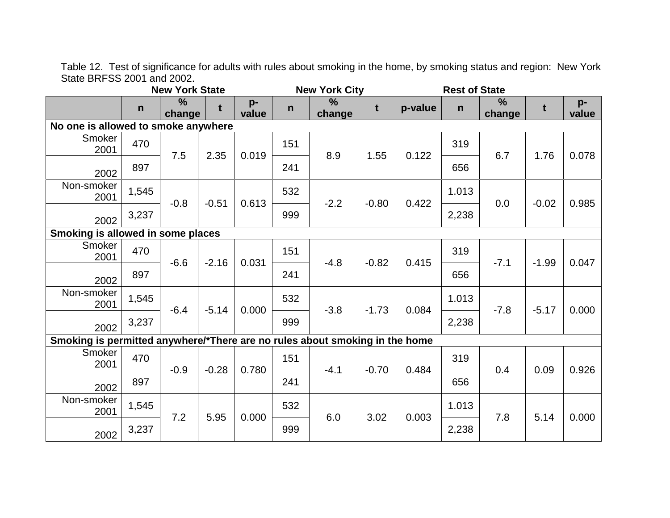Table 12. Test of significance for adults with rules about smoking in the home, by smoking status and region: New York State BRFSS 2001 and 2002.

|                                                                             | <b>New York State</b> |                         |         |               | <b>New York City</b> |                         |         |         | <b>Rest of State</b> |                         |         |             |
|-----------------------------------------------------------------------------|-----------------------|-------------------------|---------|---------------|----------------------|-------------------------|---------|---------|----------------------|-------------------------|---------|-------------|
|                                                                             | $\mathsf{n}$          | $\frac{9}{6}$<br>change | t       | $p-$<br>value | $\mathsf{n}$         | $\frac{9}{6}$<br>change | t       | p-value | $\mathsf{n}$         | $\frac{0}{0}$<br>change | t       | p-<br>value |
| No one is allowed to smoke anywhere                                         |                       |                         |         |               |                      |                         |         |         |                      |                         |         |             |
| Smoker<br>2001                                                              | 470                   | 7.5                     | 2.35    | 0.019         | 151                  | 8.9                     | 1.55    | 0.122   | 319                  | 6.7                     | 1.76    | 0.078       |
| 2002                                                                        | 897                   |                         |         |               | 241                  |                         |         |         | 656                  |                         |         |             |
| Non-smoker<br>2001                                                          | 1,545                 | $-0.8$                  | $-0.51$ | 0.613         | 532                  | $-2.2$                  | $-0.80$ | 0.422   | 1.013                | 0.0                     | $-0.02$ | 0.985       |
| 2002                                                                        | 3,237                 |                         |         |               | 999                  |                         |         |         | 2,238                |                         |         |             |
| Smoking is allowed in some places                                           |                       |                         |         |               |                      |                         |         |         |                      |                         |         |             |
| Smoker<br>2001                                                              | 470                   | $-6.6$                  | $-2.16$ | 0.031         | 151                  | $-4.8$                  | $-0.82$ | 0.415   | 319                  | $-7.1$                  | $-1.99$ | 0.047       |
| 2002                                                                        | 897                   |                         |         |               | 241                  |                         |         |         | 656                  |                         |         |             |
| Non-smoker<br>2001                                                          | 1,545                 | $-6.4$                  | $-5.14$ | 0.000         | 532                  | $-3.8$                  | $-1.73$ | 0.084   | 1.013                | $-7.8$                  | $-5.17$ | 0.000       |
| 2002                                                                        | 3,237                 |                         |         |               | 999                  |                         |         |         | 2,238                |                         |         |             |
| Smoking is permitted anywhere/*There are no rules about smoking in the home |                       |                         |         |               |                      |                         |         |         |                      |                         |         |             |
| Smoker<br>2001                                                              | 470                   | $-0.9$                  | $-0.28$ | 0.780         | 151                  | $-4.1$                  | $-0.70$ | 0.484   | 319                  | 0.4                     | 0.09    | 0.926       |
| 2002                                                                        | 897                   |                         |         |               | 241                  |                         |         |         | 656                  |                         |         |             |
| Non-smoker<br>2001                                                          | 1,545                 | 7.2                     | 5.95    | 0.000         | 532                  | 6.0                     | 3.02    | 0.003   | 1.013                | 7.8                     | 5.14    | 0.000       |
| 2002                                                                        | 3,237                 |                         |         |               | 999                  |                         |         |         | 2,238                |                         |         |             |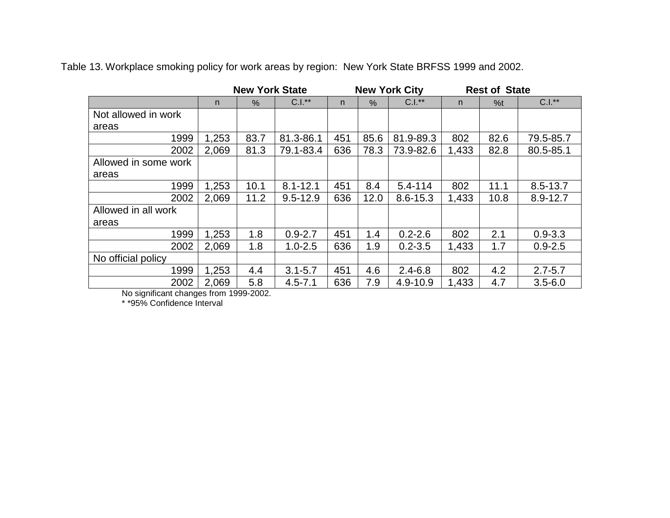Table 13. Workplace smoking policy for work areas by region: New York State BRFSS 1999 and 2002.

|                      | <b>New York State</b> |      |              |     |      | <b>New York City</b> | <b>Rest of State</b> |      |              |
|----------------------|-----------------------|------|--------------|-----|------|----------------------|----------------------|------|--------------|
|                      | n                     | $\%$ | $C.I.**$     | n   | $\%$ | $C.I.*$              | n.                   | %t   | $C.I.**$     |
| Not allowed in work  |                       |      |              |     |      |                      |                      |      |              |
| areas                |                       |      |              |     |      |                      |                      |      |              |
| 1999                 | 1,253                 | 83.7 | 81.3-86.1    | 451 | 85.6 | 81.9-89.3            | 802                  | 82.6 | 79.5-85.7    |
| 2002                 | 2,069                 | 81.3 | 79.1-83.4    | 636 | 78.3 | 73.9-82.6            | 1,433                | 82.8 | 80.5-85.1    |
| Allowed in some work |                       |      |              |     |      |                      |                      |      |              |
| areas                |                       |      |              |     |      |                      |                      |      |              |
| 1999                 | 1,253                 | 10.1 | $8.1 - 12.1$ | 451 | 8.4  | $5.4 - 114$          | 802                  | 11.1 | $8.5 - 13.7$ |
| 2002                 | 2,069                 | 11.2 | $9.5 - 12.9$ | 636 | 12.0 | $8.6 - 15.3$         | 1,433                | 10.8 | 8.9-12.7     |
| Allowed in all work  |                       |      |              |     |      |                      |                      |      |              |
| areas                |                       |      |              |     |      |                      |                      |      |              |
| 1999                 | 1,253                 | 1.8  | $0.9 - 2.7$  | 451 | 1.4  | $0.2 - 2.6$          | 802                  | 2.1  | $0.9 - 3.3$  |
| 2002                 | 2,069                 | 1.8  | $1.0 - 2.5$  | 636 | 1.9  | $0.2 - 3.5$          | 1,433                | 1.7  | $0.9 - 2.5$  |
| No official policy   |                       |      |              |     |      |                      |                      |      |              |
| 1999                 | 1,253                 | 4.4  | $3.1 - 5.7$  | 451 | 4.6  | $2.4 - 6.8$          | 802                  | 4.2  | $2.7 - 5.7$  |
| 2002                 | 2,069                 | 5.8  | $4.5 - 7.1$  | 636 | 7.9  | 4.9-10.9             | 1,433                | 4.7  | $3.5 - 6.0$  |

No significant changes from 1999-2002.